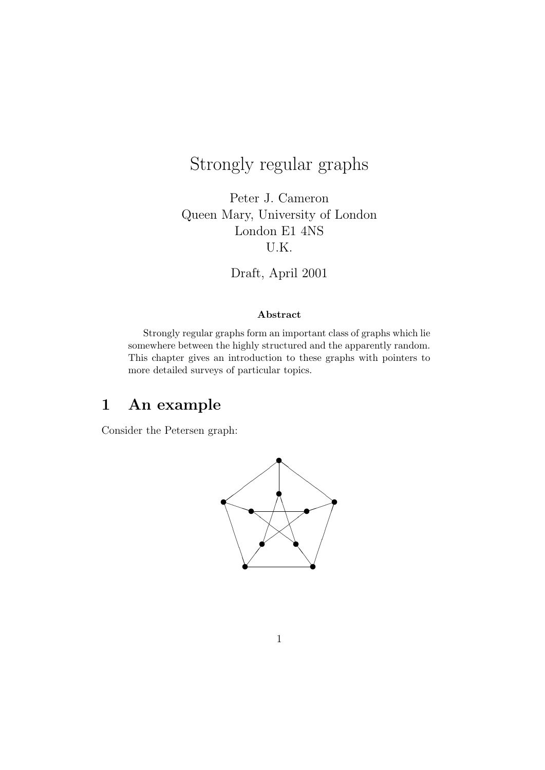# Strongly regular graphs

Peter J. Cameron Queen Mary, University of London London E1 4NS U.K.

Draft, April 2001

#### Abstract

Strongly regular graphs form an important class of graphs which lie somewhere between the highly structured and the apparently random. This chapter gives an introduction to these graphs with pointers to more detailed surveys of particular topics.

## 1 An example

Consider the Petersen graph:

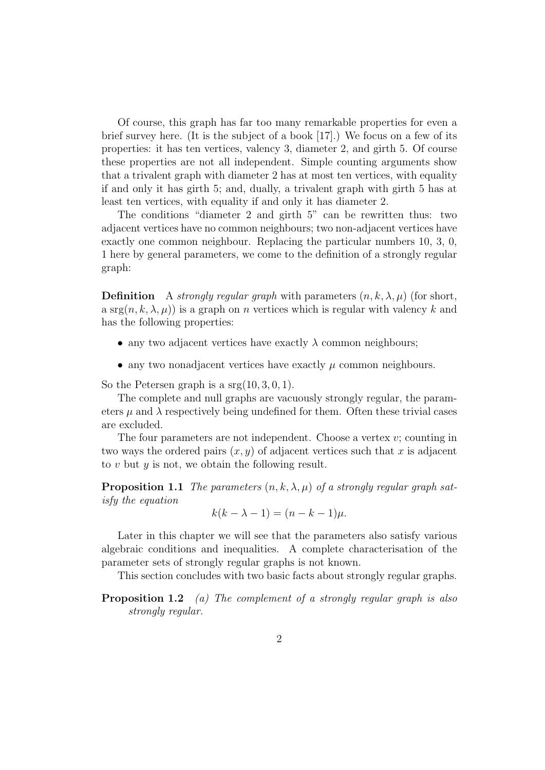Of course, this graph has far too many remarkable properties for even a brief survey here. (It is the subject of a book [17].) We focus on a few of its properties: it has ten vertices, valency 3, diameter 2, and girth 5. Of course these properties are not all independent. Simple counting arguments show that a trivalent graph with diameter 2 has at most ten vertices, with equality if and only it has girth 5; and, dually, a trivalent graph with girth 5 has at least ten vertices, with equality if and only it has diameter 2.

The conditions "diameter 2 and girth 5" can be rewritten thus: two adjacent vertices have no common neighbours; two non-adjacent vertices have exactly one common neighbour. Replacing the particular numbers 10, 3, 0, 1 here by general parameters, we come to the definition of a strongly regular graph:

**Definition** A strongly regular graph with parameters  $(n, k, \lambda, \mu)$  (for short, a srg $(n, k, \lambda, \mu)$  is a graph on *n* vertices which is regular with valency k and has the following properties:

- any two adjacent vertices have exactly  $\lambda$  common neighbours;
- any two nonadjacent vertices have exactly  $\mu$  common neighbours.

So the Petersen graph is a  $srg(10, 3, 0, 1)$ .

The complete and null graphs are vacuously strongly regular, the parameters  $\mu$  and  $\lambda$  respectively being undefined for them. Often these trivial cases are excluded.

The four parameters are not independent. Choose a vertex  $v$ ; counting in two ways the ordered pairs  $(x, y)$  of adjacent vertices such that x is adjacent to v but  $y$  is not, we obtain the following result.

**Proposition 1.1** The parameters  $(n, k, \lambda, \mu)$  of a strongly regular graph satisfy the equation

$$
k(k - \lambda - 1) = (n - k - 1)\mu.
$$

Later in this chapter we will see that the parameters also satisfy various algebraic conditions and inequalities. A complete characterisation of the parameter sets of strongly regular graphs is not known.

This section concludes with two basic facts about strongly regular graphs.

**Proposition 1.2** (a) The complement of a strongly regular graph is also strongly regular.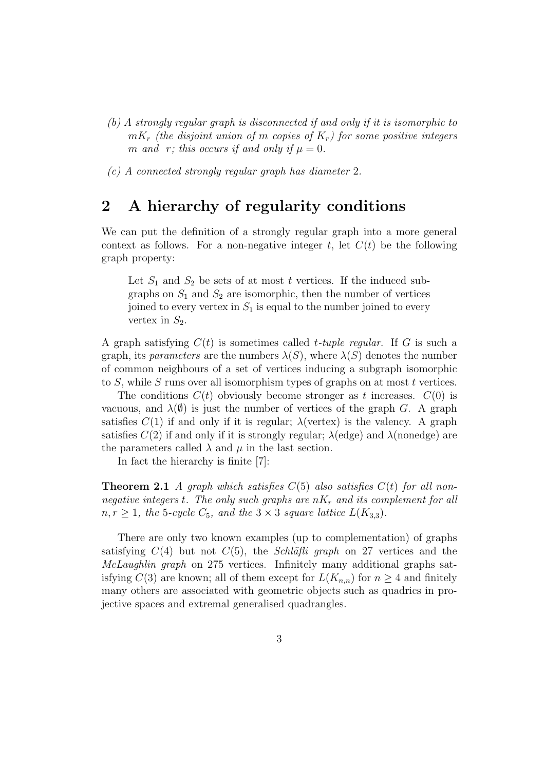- (b) A strongly regular graph is disconnected if and only if it is isomorphic to  $mK_r$  (the disjoint union of m copies of  $K_r$ ) for some positive integers m and r; this occurs if and only if  $\mu = 0$ .
- (c) A connected strongly regular graph has diameter 2.

### 2 A hierarchy of regularity conditions

We can put the definition of a strongly regular graph into a more general context as follows. For a non-negative integer t, let  $C(t)$  be the following graph property:

Let  $S_1$  and  $S_2$  be sets of at most t vertices. If the induced subgraphs on  $S_1$  and  $S_2$  are isomorphic, then the number of vertices joined to every vertex in  $S_1$  is equal to the number joined to every vertex in  $S_2$ .

A graph satisfying  $C(t)$  is sometimes called *t*-tuple regular. If G is such a graph, its *parameters* are the numbers  $\lambda(S)$ , where  $\lambda(S)$  denotes the number of common neighbours of a set of vertices inducing a subgraph isomorphic to  $S$ , while  $S$  runs over all isomorphism types of graphs on at most  $t$  vertices.

The conditions  $C(t)$  obviously become stronger as t increases.  $C(0)$  is vacuous, and  $\lambda(\emptyset)$  is just the number of vertices of the graph G. A graph satisfies  $C(1)$  if and only if it is regular;  $\lambda$ (vertex) is the valency. A graph satisfies  $C(2)$  if and only if it is strongly regular;  $\lambda$ (edge) and  $\lambda$ (nonedge) are the parameters called  $\lambda$  and  $\mu$  in the last section.

In fact the hierarchy is finite [7]:

**Theorem 2.1** A graph which satisfies  $C(5)$  also satisfies  $C(t)$  for all nonnegative integers t. The only such graphs are  $nK_r$  and its complement for all  $n, r \geq 1$ , the 5-cycle  $C_5$ , and the  $3 \times 3$  square lattice  $L(K_{3,3})$ .

There are only two known examples (up to complementation) of graphs satisfying  $C(4)$  but not  $C(5)$ , the *Schläfli graph* on 27 vertices and the McLaughlin graph on 275 vertices. Infinitely many additional graphs satisfying  $C(3)$  are known; all of them except for  $L(K_{n,n})$  for  $n \geq 4$  and finitely many others are associated with geometric objects such as quadrics in projective spaces and extremal generalised quadrangles.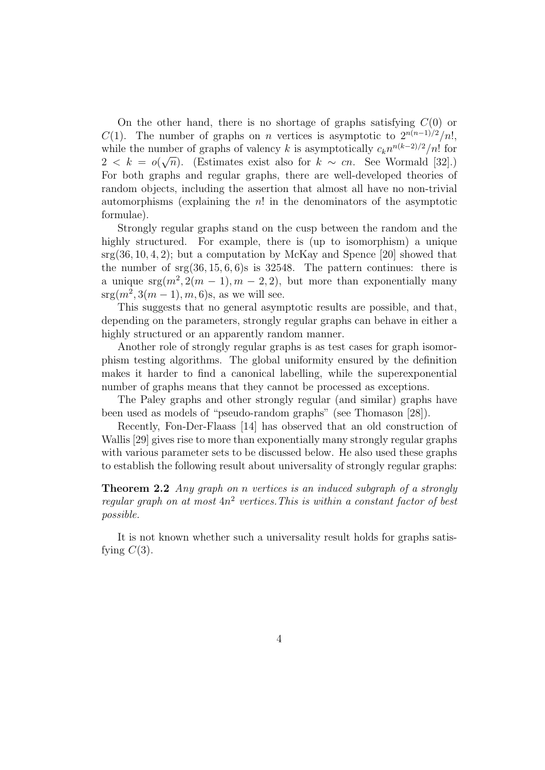On the other hand, there is no shortage of graphs satisfying  $C(0)$  or C(1). The number of graphs on n vertices is asymptotic to  $2^{n(n-1)/2}/n!$ , while the number of graphs of valency k is asymptotically  $c_k n^{n(k-2)/2}/n!$  for  $2 < k = o(\sqrt{n})$ . (Estimates exist also for  $k \sim cn$ . See Wormald [32].) For both graphs and regular graphs, there are well-developed theories of random objects, including the assertion that almost all have no non-trivial automorphisms (explaining the  $n!$  in the denominators of the asymptotic formulae).

Strongly regular graphs stand on the cusp between the random and the highly structured. For example, there is (up to isomorphism) a unique  $srg(36, 10, 4, 2)$ ; but a computation by McKay and Spence [20] showed that the number of  $srg(36, 15, 6, 6)s$  is 32548. The pattern continues: there is a unique  $\arg(m^2, 2(m-1), m-2, 2)$ , but more than exponentially many  $srg(m^2, 3(m-1), m, 6)$ s, as we will see.

This suggests that no general asymptotic results are possible, and that, depending on the parameters, strongly regular graphs can behave in either a highly structured or an apparently random manner.

Another role of strongly regular graphs is as test cases for graph isomorphism testing algorithms. The global uniformity ensured by the definition makes it harder to find a canonical labelling, while the superexponential number of graphs means that they cannot be processed as exceptions.

The Paley graphs and other strongly regular (and similar) graphs have been used as models of "pseudo-random graphs" (see Thomason [28]).

Recently, Fon-Der-Flaass [14] has observed that an old construction of Wallis [29] gives rise to more than exponentially many strongly regular graphs with various parameter sets to be discussed below. He also used these graphs to establish the following result about universality of strongly regular graphs:

Theorem 2.2 Any graph on n vertices is an induced subgraph of a strongly regular graph on at most  $4n^2$  vertices. This is within a constant factor of best possible.

It is not known whether such a universality result holds for graphs satisfying  $C(3)$ .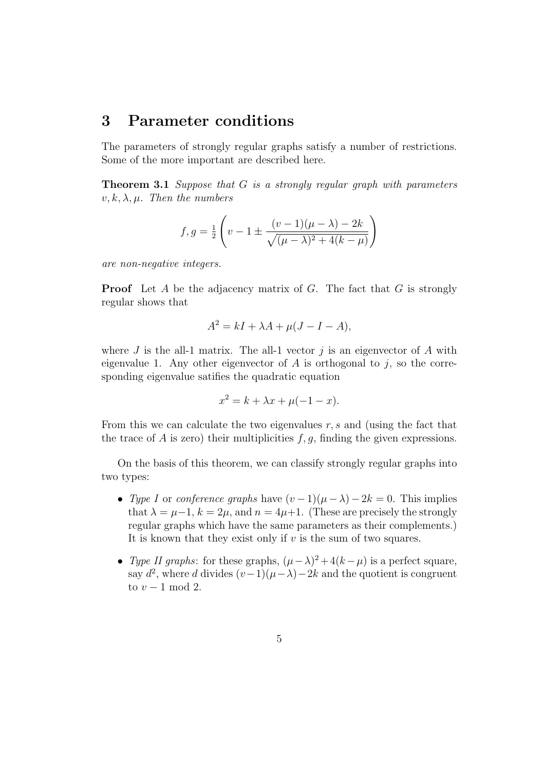### 3 Parameter conditions

The parameters of strongly regular graphs satisfy a number of restrictions. Some of the more important are described here.

**Theorem 3.1** Suppose that G is a strongly regular graph with parameters  $v, k, \lambda, \mu$ . Then the numbers

$$
f, g = \frac{1}{2} \left( v - 1 \pm \frac{(v - 1)(\mu - \lambda) - 2k}{\sqrt{(\mu - \lambda)^2 + 4(k - \mu)}} \right)
$$

are non-negative integers.

**Proof** Let A be the adjacency matrix of G. The fact that  $G$  is strongly regular shows that

$$
A^2 = kI + \lambda A + \mu (J - I - A),
$$

where  $J$  is the all-1 matrix. The all-1 vector  $j$  is an eigenvector of  $A$  with eigenvalue 1. Any other eigenvector of  $A$  is orthogonal to  $j$ , so the corresponding eigenvalue satifies the quadratic equation

$$
x^2 = k + \lambda x + \mu(-1 - x).
$$

From this we can calculate the two eigenvalues  $r, s$  and (using the fact that the trace of  $A$  is zero) their multiplicities  $f, g$ , finding the given expressions.

On the basis of this theorem, we can classify strongly regular graphs into two types:

- Type I or conference graphs have  $(v-1)(\mu-\lambda)-2k=0$ . This implies that  $\lambda = \mu - 1$ ,  $k = 2\mu$ , and  $n = 4\mu + 1$ . (These are precisely the strongly regular graphs which have the same parameters as their complements.) It is known that they exist only if  $v$  is the sum of two squares.
- Type II graphs: for these graphs,  $(\mu \lambda)^2 + 4(k \mu)$  is a perfect square, say  $d^2$ , where d divides  $(v-1)(\mu-\lambda)-2k$  and the quotient is congruent to  $v - 1 \mod 2$ .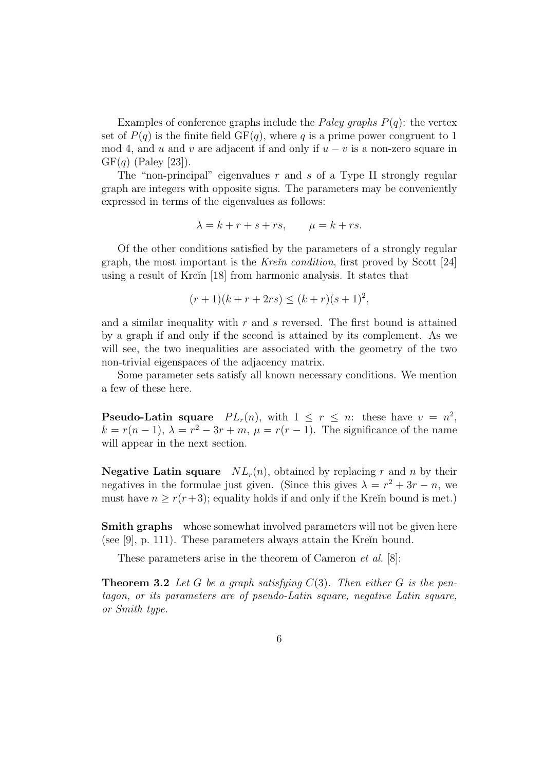Examples of conference graphs include the *Paley graphs*  $P(q)$ *:* the vertex set of  $P(q)$  is the finite field  $GF(q)$ , where q is a prime power congruent to 1 mod 4, and u and v are adjacent if and only if  $u - v$  is a non-zero square in  $GF(q)$  (Paley [23]).

The "non-principal" eigenvalues  $r$  and  $s$  of a Type II strongly regular graph are integers with opposite signs. The parameters may be conveniently expressed in terms of the eigenvalues as follows:

$$
\lambda = k + r + s + rs, \qquad \mu = k + rs.
$$

Of the other conditions satisfied by the parameters of a strongly regular graph, the most important is the *Kre* $\check{n}$  *condition*, first proved by Scott [24] using a result of Kreĭn [18] from harmonic analysis. It states that

$$
(r+1)(k+r+2rs) \le (k+r)(s+1)^2,
$$

and a similar inequality with  $r$  and  $s$  reversed. The first bound is attained by a graph if and only if the second is attained by its complement. As we will see, the two inequalities are associated with the geometry of the two non-trivial eigenspaces of the adjacency matrix.

Some parameter sets satisfy all known necessary conditions. We mention a few of these here.

**Pseudo-Latin square**  $PL_r(n)$ , with  $1 \leq r \leq n$ : these have  $v = n^2$ ,  $k = r(n-1)$ ,  $\lambda = r^2 - 3r + m$ ,  $\mu = r(r-1)$ . The significance of the name will appear in the next section.

**Negative Latin square**  $NL_r(n)$ , obtained by replacing r and n by their negatives in the formulae just given. (Since this gives  $\lambda = r^2 + 3r - n$ , we must have  $n \ge r(r+3)$ ; equality holds if and only if the Kreĭn bound is met.)

**Smith graphs** whose somewhat involved parameters will not be given here (see [9], p. 111). These parameters always attain the Kre $\tilde{p}$  bound.

These parameters arise in the theorem of Cameron et al. [8]:

**Theorem 3.2** Let G be a graph satisfying  $C(3)$ . Then either G is the pentagon, or its parameters are of pseudo-Latin square, negative Latin square, or Smith type.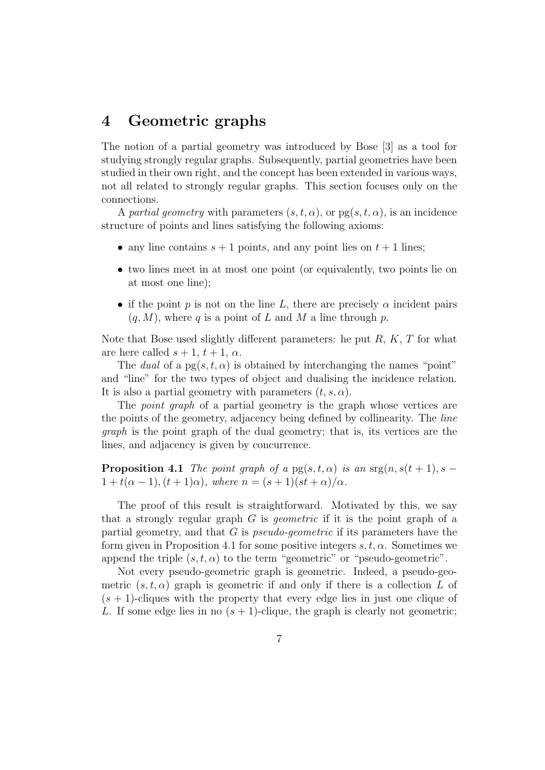### 4 Geometric graphs

The notion of a partial geometry was introduced by Bose [3] as a tool for studying strongly regular graphs. Subsequently, partial geometries have been studied in their own right, and the concept has been extended in various ways, not all related to strongly regular graphs. This section focuses only on the connections.

A partial geometry with parameters  $(s, t, \alpha)$ , or  $pg(s, t, \alpha)$ , is an incidence structure of points and lines satisfying the following axioms:

- any line contains  $s + 1$  points, and any point lies on  $t + 1$  lines;
- two lines meet in at most one point (or equivalently, two points lie on at most one line);
- if the point p is not on the line L, there are precisely  $\alpha$  incident pairs  $(q, M)$ , where q is a point of L and M a line through p.

Note that Bose used slightly different parameters: he put  $R, K, T$  for what are here called  $s + 1$ ,  $t + 1$ ,  $\alpha$ .

The dual of a  $pg(s, t, \alpha)$  is obtained by interchanging the names "point" and "line" for the two types of object and dualising the incidence relation. It is also a partial geometry with parameters  $(t, s, \alpha)$ .

The *point graph* of a partial geometry is the graph whose vertices are the points of the geometry, adjacency being defined by collinearity. The line graph is the point graph of the dual geometry; that is, its vertices are the lines, and adjacency is given by concurrence.

**Proposition 4.1** The point graph of a  $pg(s,t,\alpha)$  is an  $sg(n, s(t + 1), s 1+t(\alpha-1), (t+1)\alpha)$ , where  $n=(s+1)(st+\alpha)/\alpha$ .

The proof of this result is straightforward. Motivated by this, we say that a strongly regular graph  $G$  is *geometric* if it is the point graph of a partial geometry, and that  $G$  is *pseudo-geometric* if its parameters have the form given in Proposition 4.1 for some positive integers  $s, t, \alpha$ . Sometimes we append the triple  $(s, t, \alpha)$  to the term "geometric" or "pseudo-geometric".

Not every pseudo-geometric graph is geometric. Indeed, a pseudo-geometric  $(s, t, \alpha)$  graph is geometric if and only if there is a collection L of  $(s + 1)$ -cliques with the property that every edge lies in just one clique of L. If some edge lies in no  $(s + 1)$ -clique, the graph is clearly not geometric;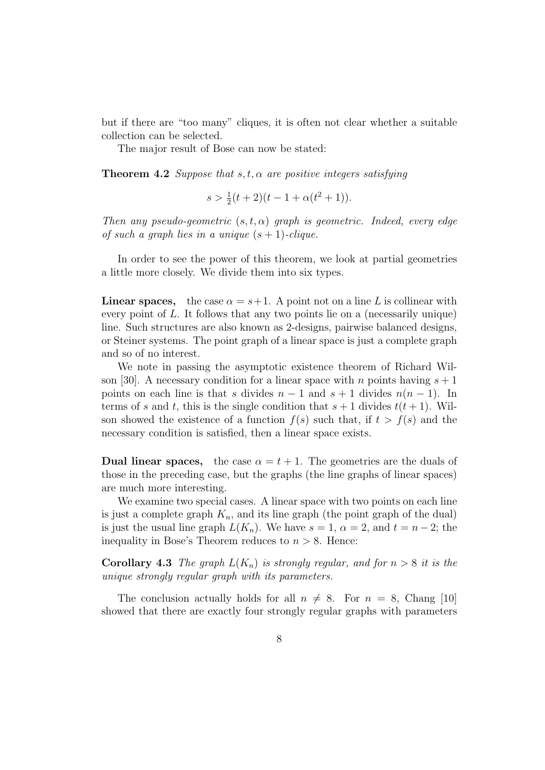but if there are "too many" cliques, it is often not clear whether a suitable collection can be selected.

The major result of Bose can now be stated:

**Theorem 4.2** Suppose that  $s, t, \alpha$  are positive integers satisfying

$$
s > \frac{1}{2}(t+2)(t-1+\alpha(t^2+1)).
$$

Then any pseudo-geometric  $(s, t, \alpha)$  graph is geometric. Indeed, every edge of such a graph lies in a unique  $(s + 1)$ -clique.

In order to see the power of this theorem, we look at partial geometries a little more closely. We divide them into six types.

**Linear spaces,** the case  $\alpha = s+1$ . A point not on a line L is collinear with every point of L. It follows that any two points lie on a (necessarily unique) line. Such structures are also known as 2-designs, pairwise balanced designs, or Steiner systems. The point graph of a linear space is just a complete graph and so of no interest.

We note in passing the asymptotic existence theorem of Richard Wilson [30]. A necessary condition for a linear space with n points having  $s + 1$ points on each line is that s divides  $n-1$  and  $s+1$  divides  $n(n-1)$ . In terms of s and t, this is the single condition that  $s + 1$  divides  $t(t + 1)$ . Wilson showed the existence of a function  $f(s)$  such that, if  $t > f(s)$  and the necessary condition is satisfied, then a linear space exists.

**Dual linear spaces,** the case  $\alpha = t + 1$ . The geometries are the duals of those in the preceding case, but the graphs (the line graphs of linear spaces) are much more interesting.

We examine two special cases. A linear space with two points on each line is just a complete graph  $K_n$ , and its line graph (the point graph of the dual) is just the usual line graph  $L(K_n)$ . We have  $s = 1$ ,  $\alpha = 2$ , and  $t = n - 2$ ; the inequality in Bose's Theorem reduces to  $n > 8$ . Hence:

**Corollary 4.3** The graph  $L(K_n)$  is strongly regular, and for  $n > 8$  it is the unique strongly regular graph with its parameters.

The conclusion actually holds for all  $n \neq 8$ . For  $n = 8$ , Chang [10] showed that there are exactly four strongly regular graphs with parameters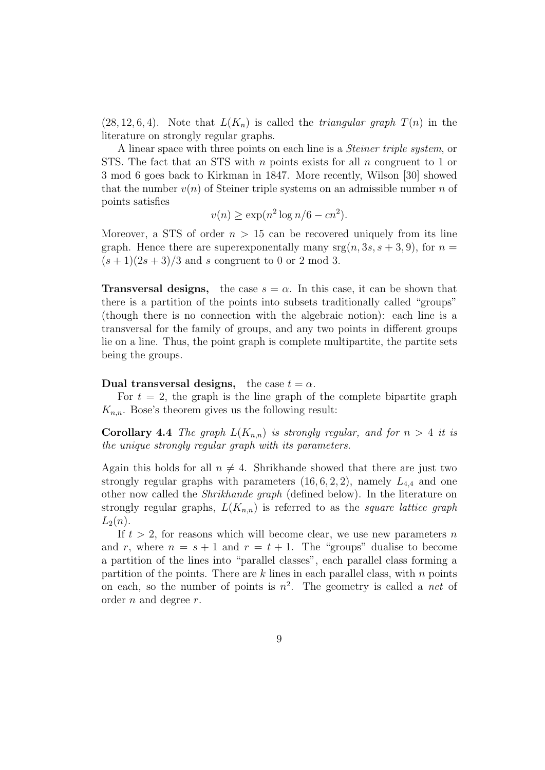$(28, 12, 6, 4)$ . Note that  $L(K_n)$  is called the *triangular graph*  $T(n)$  in the literature on strongly regular graphs.

A linear space with three points on each line is a Steiner triple system, or STS. The fact that an STS with  $n$  points exists for all  $n$  congruent to 1 or 3 mod 6 goes back to Kirkman in 1847. More recently, Wilson [30] showed that the number  $v(n)$  of Steiner triple systems on an admissible number n of points satisfies

$$
v(n) \ge \exp(n^2 \log n/6 - cn^2).
$$

Moreover, a STS of order  $n > 15$  can be recovered uniquely from its line graph. Hence there are superexponentally many  $\text{srg}(n, 3s, s + 3, 9)$ , for  $n =$  $(s+1)(2s+3)/3$  and s congruent to 0 or 2 mod 3.

**Transversal designs,** the case  $s = \alpha$ . In this case, it can be shown that there is a partition of the points into subsets traditionally called "groups" (though there is no connection with the algebraic notion): each line is a transversal for the family of groups, and any two points in different groups lie on a line. Thus, the point graph is complete multipartite, the partite sets being the groups.

#### Dual transversal designs, the case  $t = \alpha$ .

For  $t = 2$ , the graph is the line graph of the complete bipartite graph  $K_{n,n}$ . Bose's theorem gives us the following result:

**Corollary 4.4** The graph  $L(K_{n,n})$  is strongly regular, and for  $n > 4$  it is the unique strongly regular graph with its parameters.

Again this holds for all  $n \neq 4$ . Shrikhande showed that there are just two strongly regular graphs with parameters  $(16, 6, 2, 2)$ , namely  $L_{4,4}$  and one other now called the Shrikhande graph (defined below). In the literature on strongly regular graphs,  $L(K_{n,n})$  is referred to as the square lattice graph  $L_2(n)$ .

If  $t > 2$ , for reasons which will become clear, we use new parameters n and r, where  $n = s + 1$  and  $r = t + 1$ . The "groups" dualise to become a partition of the lines into "parallel classes", each parallel class forming a partition of the points. There are  $k$  lines in each parallel class, with  $n$  points on each, so the number of points is  $n^2$ . The geometry is called a *net* of order n and degree r.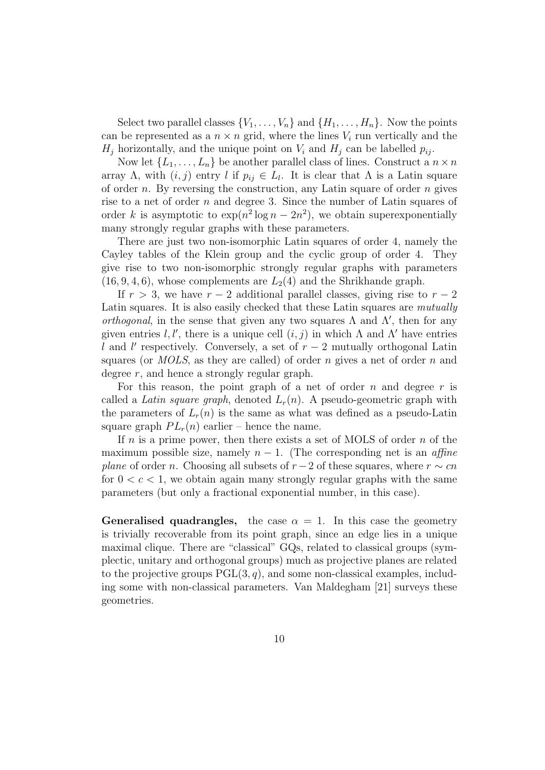Select two parallel classes  $\{V_1, \ldots, V_n\}$  and  $\{H_1, \ldots, H_n\}$ . Now the points can be represented as a  $n \times n$  grid, where the lines  $V_i$  run vertically and the  $H_i$  horizontally, and the unique point on  $V_i$  and  $H_i$  can be labelled  $p_{ij}$ .

Now let  $\{L_1, \ldots, L_n\}$  be another parallel class of lines. Construct a  $n \times n$ array  $\Lambda$ , with  $(i, j)$  entry l if  $p_{ij} \in L_l$ . It is clear that  $\Lambda$  is a Latin square of order  $n$ . By reversing the construction, any Latin square of order  $n$  gives rise to a net of order  $n$  and degree 3. Since the number of Latin squares of order k is asymptotic to  $\exp(n^2 \log n - 2n^2)$ , we obtain superexponentially many strongly regular graphs with these parameters.

There are just two non-isomorphic Latin squares of order 4, namely the Cayley tables of the Klein group and the cyclic group of order 4. They give rise to two non-isomorphic strongly regular graphs with parameters  $(16, 9, 4, 6)$ , whose complements are  $L_2(4)$  and the Shrikhande graph.

If  $r > 3$ , we have  $r - 2$  additional parallel classes, giving rise to  $r - 2$ Latin squares. It is also easily checked that these Latin squares are *mutually orthogonal*, in the sense that given any two squares  $\Lambda$  and  $\Lambda'$ , then for any given entries l, l', there is a unique cell  $(i, j)$  in which  $\Lambda$  and  $\Lambda'$  have entries l and l' respectively. Conversely, a set of  $r-2$  mutually orthogonal Latin squares (or *MOLS*, as they are called) of order n gives a net of order n and degree r, and hence a strongly regular graph.

For this reason, the point graph of a net of order n and degree  $r$  is called a Latin square graph, denoted  $L_r(n)$ . A pseudo-geometric graph with the parameters of  $L_r(n)$  is the same as what was defined as a pseudo-Latin square graph  $PL<sub>r</sub>(n)$  earlier – hence the name.

If n is a prime power, then there exists a set of MOLS of order  $n$  of the maximum possible size, namely  $n-1$ . (The corresponding net is an *affine plane* of order *n*. Choosing all subsets of  $r-2$  of these squares, where  $r \sim cn$ for  $0 < c < 1$ , we obtain again many strongly regular graphs with the same parameters (but only a fractional exponential number, in this case).

**Generalised quadrangles,** the case  $\alpha = 1$ . In this case the geometry is trivially recoverable from its point graph, since an edge lies in a unique maximal clique. There are "classical" GQs, related to classical groups (symplectic, unitary and orthogonal groups) much as projective planes are related to the projective groups  $PGL(3, q)$ , and some non-classical examples, including some with non-classical parameters. Van Maldegham [21] surveys these geometries.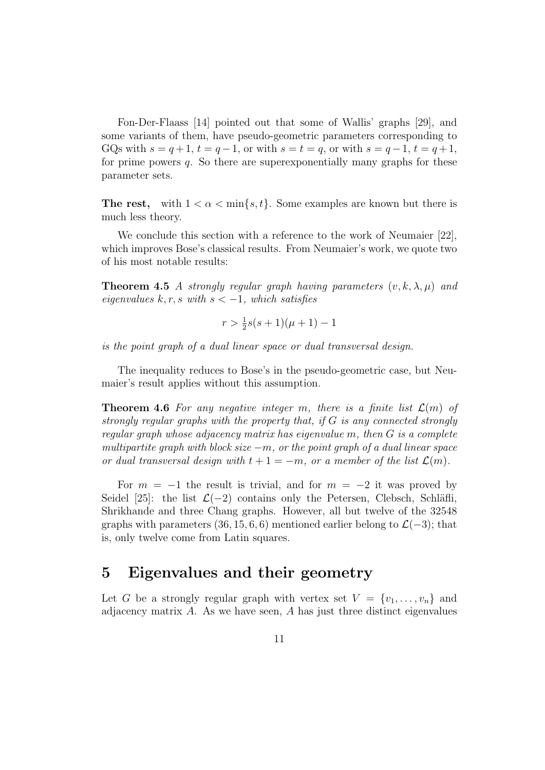Fon-Der-Flaass [14] pointed out that some of Wallis' graphs [29], and some variants of them, have pseudo-geometric parameters corresponding to GQs with  $s = q + 1$ ,  $t = q - 1$ , or with  $s = t = q$ , or with  $s = q - 1$ ,  $t = q + 1$ , for prime powers  $q$ . So there are superexponentially many graphs for these parameter sets.

The rest, with  $1 < \alpha < \min\{s, t\}$ . Some examples are known but there is much less theory.

We conclude this section with a reference to the work of Neumaier [22], which improves Bose's classical results. From Neumaier's work, we quote two of his most notable results:

**Theorem 4.5** A strongly regular graph having parameters  $(v, k, \lambda, \mu)$  and eigenvalues k, r, s with  $s < -1$ , which satisfies

$$
r > \frac{1}{2}s(s+1)(\mu+1) - 1
$$

is the point graph of a dual linear space or dual transversal design.

The inequality reduces to Bose's in the pseudo-geometric case, but Neumaier's result applies without this assumption.

**Theorem 4.6** For any negative integer m, there is a finite list  $\mathcal{L}(m)$  of strongly regular graphs with the property that, if  $G$  is any connected strongly regular graph whose adjacency matrix has eigenvalue m, then G is a complete multipartite graph with block size  $-m$ , or the point graph of a dual linear space or dual transversal design with  $t + 1 = -m$ , or a member of the list  $\mathcal{L}(m)$ .

For  $m = -1$  the result is trivial, and for  $m = -2$  it was proved by Seidel [25]: the list  $\mathcal{L}(-2)$  contains only the Petersen, Clebsch, Schläfli, Shrikhande and three Chang graphs. However, all but twelve of the 32548 graphs with parameters (36, 15, 6, 6) mentioned earlier belong to  $\mathcal{L}(-3)$ ; that is, only twelve come from Latin squares.

### 5 Eigenvalues and their geometry

Let G be a strongly regular graph with vertex set  $V = \{v_1, \ldots, v_n\}$  and adjacency matrix  $A$ . As we have seen,  $A$  has just three distinct eigenvalues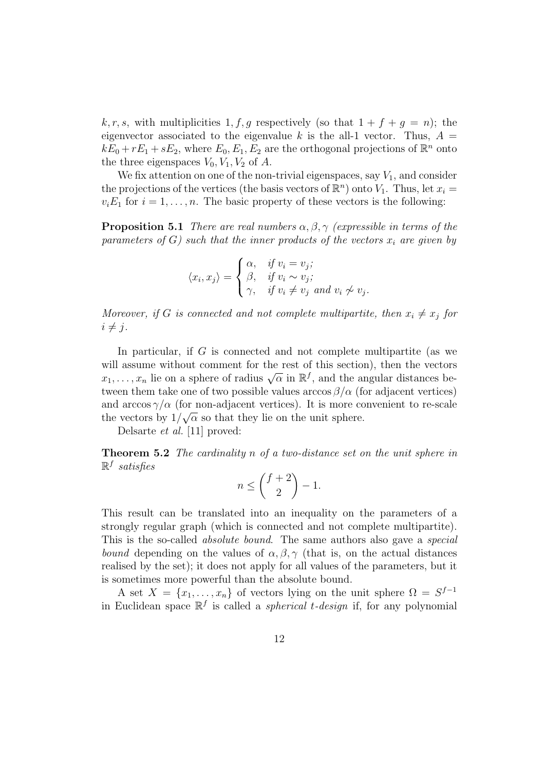k, r, s, with multiplicities 1, f, g respectively (so that  $1 + f + g = n$ ); the eigenvector associated to the eigenvalue k is the all-1 vector. Thus,  $A =$  $kE_0 + rE_1 + sE_2$ , where  $E_0, E_1, E_2$  are the orthogonal projections of  $\mathbb{R}^n$  onto the three eigenspaces  $V_0, V_1, V_2$  of A.

We fix attention on one of the non-trivial eigenspaces, say  $V_1$ , and consider the projections of the vertices (the basis vectors of  $\mathbb{R}^n$ ) onto  $V_1$ . Thus, let  $x_i =$  $v_i E_1$  for  $i = 1, \ldots, n$ . The basic property of these vectors is the following:

**Proposition 5.1** There are real numbers  $\alpha, \beta, \gamma$  (expressible in terms of the parameters of G) such that the inner products of the vectors  $x_i$  are given by

$$
\langle x_i, x_j \rangle = \begin{cases} \alpha, & \text{if } v_i = v_j; \\ \beta, & \text{if } v_i \sim v_j; \\ \gamma, & \text{if } v_i \neq v_j \text{ and } v_i \not\sim v_j. \end{cases}
$$

Moreover, if G is connected and not complete multipartite, then  $x_i \neq x_j$  for  $i \neq j$ .

In particular, if  $G$  is connected and not complete multipartite (as we will assume without comment for the rest of this section), then the vectors will assume without comment for the rest of this section), then the vectors  $x_1, \ldots, x_n$  lie on a sphere of radius  $\sqrt{\alpha}$  in  $\mathbb{R}^f$ , and the angular distances between them take one of two possible values arccos  $\beta/\alpha$  (for adjacent vertices) and  $\arccos \gamma/\alpha$  (for non-adjacent vertices). It is more convenient to re-scale the vectors by  $1/\sqrt{\alpha}$  so that they lie on the unit sphere.

Delsarte et al. [11] proved:

**Theorem 5.2** The cardinality n of a two-distance set on the unit sphere in  $\mathbb{R}^f$  satisfies

$$
n \le \binom{f+2}{2} - 1.
$$

This result can be translated into an inequality on the parameters of a strongly regular graph (which is connected and not complete multipartite). This is the so-called *absolute bound*. The same authors also gave a *special* bound depending on the values of  $\alpha, \beta, \gamma$  (that is, on the actual distances realised by the set); it does not apply for all values of the parameters, but it is sometimes more powerful than the absolute bound.

A set  $X = \{x_1, \ldots, x_n\}$  of vectors lying on the unit sphere  $\Omega = S^{f-1}$ in Euclidean space  $\mathbb{R}^f$  is called a *spherical t-design* if, for any polynomial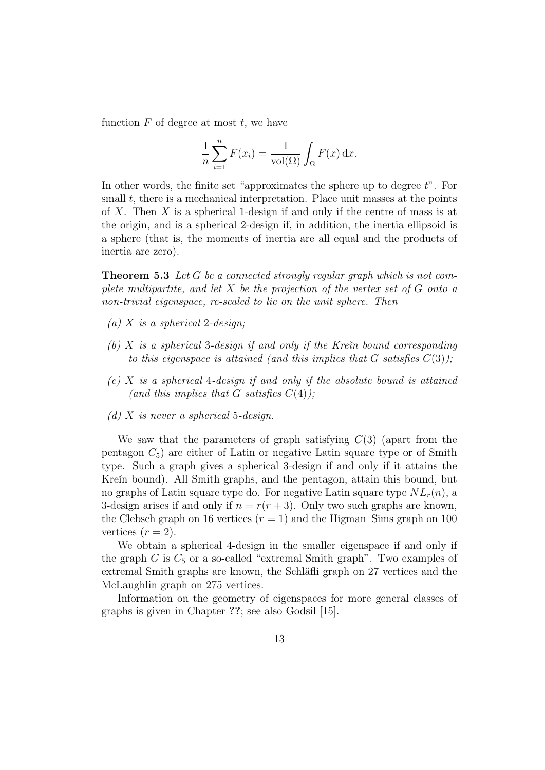function  $F$  of degree at most  $t$ , we have

$$
\frac{1}{n}\sum_{i=1}^{n}F(x_i) = \frac{1}{\text{vol}(\Omega)}\int_{\Omega}F(x)\,\mathrm{d}x.
$$

In other words, the finite set "approximates the sphere up to degree  $t$ ". For small  $t$ , there is a mechanical interpretation. Place unit masses at the points of X. Then X is a spherical 1-design if and only if the centre of mass is at the origin, and is a spherical 2-design if, in addition, the inertia ellipsoid is a sphere (that is, the moments of inertia are all equal and the products of inertia are zero).

**Theorem 5.3** Let G be a connected strongly regular graph which is not complete multipartite, and let  $X$  be the projection of the vertex set of  $G$  onto a non-trivial eigenspace, re-scaled to lie on the unit sphere. Then

- (a) X is a spherical 2-design;
- (b) X is a spherical 3-design if and only if the Kre $\check{\imath}$  bound corresponding to this eigenspace is attained (and this implies that G satisfies  $C(3)$ );
- $(c)$  X is a spherical 4-design if and only if the absolute bound is attained (and this implies that G satisfies  $C(4)$ );
- (d) X is never a spherical 5-design.

We saw that the parameters of graph satisfying  $C(3)$  (apart from the pentagon  $C_5$ ) are either of Latin or negative Latin square type or of Smith type. Such a graph gives a spherical 3-design if and only if it attains the Kreĭn bound). All Smith graphs, and the pentagon, attain this bound, but no graphs of Latin square type do. For negative Latin square type  $NL_r(n)$ , a 3-design arises if and only if  $n = r(r + 3)$ . Only two such graphs are known, the Clebsch graph on 16 vertices  $(r = 1)$  and the Higman–Sims graph on 100 vertices  $(r = 2)$ .

We obtain a spherical 4-design in the smaller eigenspace if and only if the graph  $G$  is  $C_5$  or a so-called "extremal Smith graph". Two examples of extremal Smith graphs are known, the Schläfli graph on 27 vertices and the McLaughlin graph on 275 vertices.

Information on the geometry of eigenspaces for more general classes of graphs is given in Chapter ??; see also Godsil [15].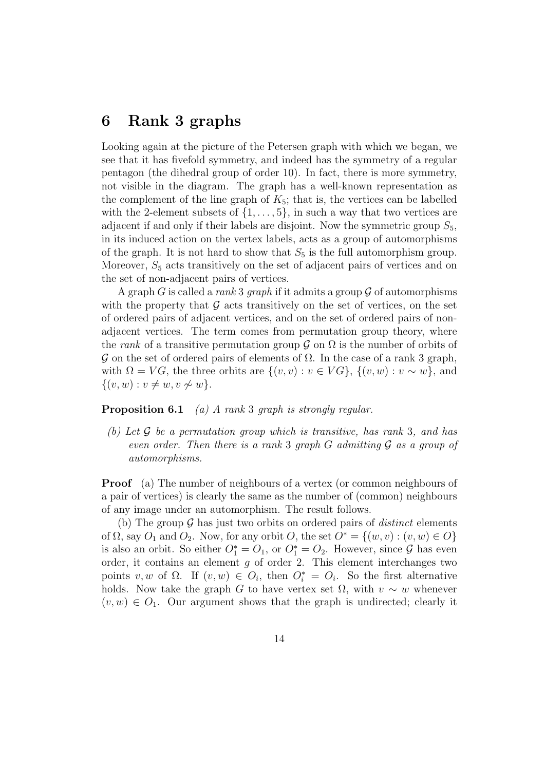### 6 Rank 3 graphs

Looking again at the picture of the Petersen graph with which we began, we see that it has fivefold symmetry, and indeed has the symmetry of a regular pentagon (the dihedral group of order 10). In fact, there is more symmetry, not visible in the diagram. The graph has a well-known representation as the complement of the line graph of  $K_5$ ; that is, the vertices can be labelled with the 2-element subsets of  $\{1, \ldots, 5\}$ , in such a way that two vertices are adjacent if and only if their labels are disjoint. Now the symmetric group  $S_5$ , in its induced action on the vertex labels, acts as a group of automorphisms of the graph. It is not hard to show that  $S_5$  is the full automorphism group. Moreover,  $S_5$  acts transitively on the set of adjacent pairs of vertices and on the set of non-adjacent pairs of vertices.

A graph G is called a rank 3 graph if it admits a group  $\mathcal G$  of automorphisms with the property that  $\mathcal G$  acts transitively on the set of vertices, on the set of ordered pairs of adjacent vertices, and on the set of ordered pairs of nonadjacent vertices. The term comes from permutation group theory, where the rank of a transitive permutation group  $\mathcal G$  on  $\Omega$  is the number of orbits of G on the set of ordered pairs of elements of Ω. In the case of a rank 3 graph, with  $\Omega = VG$ , the three orbits are  $\{(v, v) : v \in VG\}$ ,  $\{(v, w) : v \sim w\}$ , and  $\{(v, w) : v \neq w, v \nsim w\}.$ 

**Proposition 6.1** (a) A rank 3 graph is strongly regular.

(b) Let  $\mathcal G$  be a permutation group which is transitive, has rank 3, and has even order. Then there is a rank 3 graph  $G$  admitting  $G$  as a group of automorphisms.

Proof (a) The number of neighbours of a vertex (or common neighbours of a pair of vertices) is clearly the same as the number of (common) neighbours of any image under an automorphism. The result follows.

(b) The group  $\mathcal G$  has just two orbits on ordered pairs of *distinct* elements of  $\Omega$ , say  $O_1$  and  $O_2$ . Now, for any orbit  $O$ , the set  $O^* = \{(w, v) : (v, w) \in O\}$ is also an orbit. So either  $O_1^* = O_1$ , or  $O_1^* = O_2$ . However, since  $\mathcal G$  has even order, it contains an element  $g$  of order 2. This element interchanges two points v, w of  $\Omega$ . If  $(v, w) \in O_i$ , then  $O_i^* = O_i$ . So the first alternative holds. Now take the graph G to have vertex set  $\Omega$ , with  $v \sim w$  whenever  $(v, w) \in O_1$ . Our argument shows that the graph is undirected; clearly it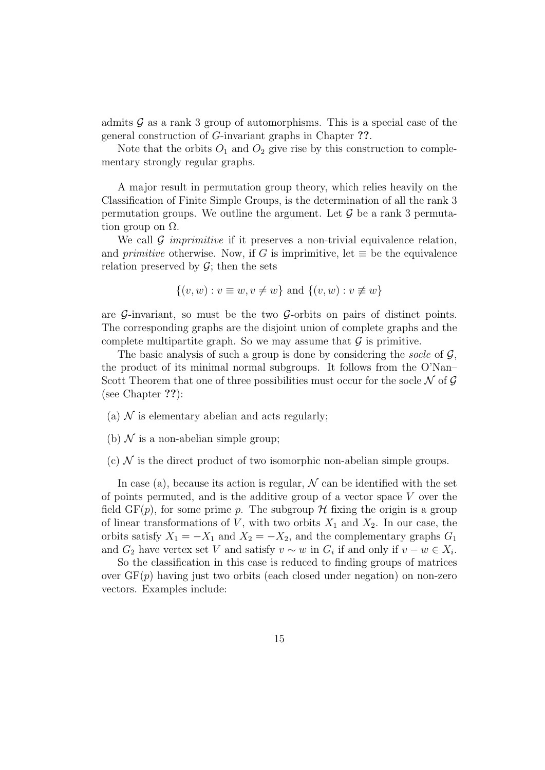admits  $\mathcal G$  as a rank 3 group of automorphisms. This is a special case of the general construction of G-invariant graphs in Chapter ??.

Note that the orbits  $O_1$  and  $O_2$  give rise by this construction to complementary strongly regular graphs.

A major result in permutation group theory, which relies heavily on the Classification of Finite Simple Groups, is the determination of all the rank 3 permutation groups. We outline the argument. Let  $\mathcal G$  be a rank 3 permutation group on  $\Omega$ .

We call  $\mathcal G$  *imprimitive* if it preserves a non-trivial equivalence relation, and *primitive* otherwise. Now, if G is imprimitive, let  $\equiv$  be the equivalence relation preserved by  $\mathcal{G}$ ; then the sets

$$
\{(v, w) : v \equiv w, v \neq w\} \text{ and } \{(v, w) : v \not\equiv w\}
$$

are  $\mathcal{G}$ -invariant, so must be the two  $\mathcal{G}$ -orbits on pairs of distinct points. The corresponding graphs are the disjoint union of complete graphs and the complete multipartite graph. So we may assume that  $\mathcal G$  is primitive.

The basic analysis of such a group is done by considering the socle of  $\mathcal{G}$ , the product of its minimal normal subgroups. It follows from the O'Nan– Scott Theorem that one of three possibilities must occur for the socle  $\mathcal N$  of  $\mathcal G$ (see Chapter ??):

- (a)  $\mathcal N$  is elementary abelian and acts regularly:
- (b)  $\mathcal N$  is a non-abelian simple group;
- (c)  $\mathcal N$  is the direct product of two isomorphic non-abelian simple groups.

In case (a), because its action is regular,  $\mathcal N$  can be identified with the set of points permuted, and is the additive group of a vector space  $V$  over the field  $GF(p)$ , for some prime p. The subgroup H fixing the origin is a group of linear transformations of V, with two orbits  $X_1$  and  $X_2$ . In our case, the orbits satisfy  $X_1 = -X_1$  and  $X_2 = -X_2$ , and the complementary graphs  $G_1$ and  $G_2$  have vertex set V and satisfy  $v \sim w$  in  $G_i$  if and only if  $v - w \in X_i$ .

So the classification in this case is reduced to finding groups of matrices over  $GF(p)$  having just two orbits (each closed under negation) on non-zero vectors. Examples include: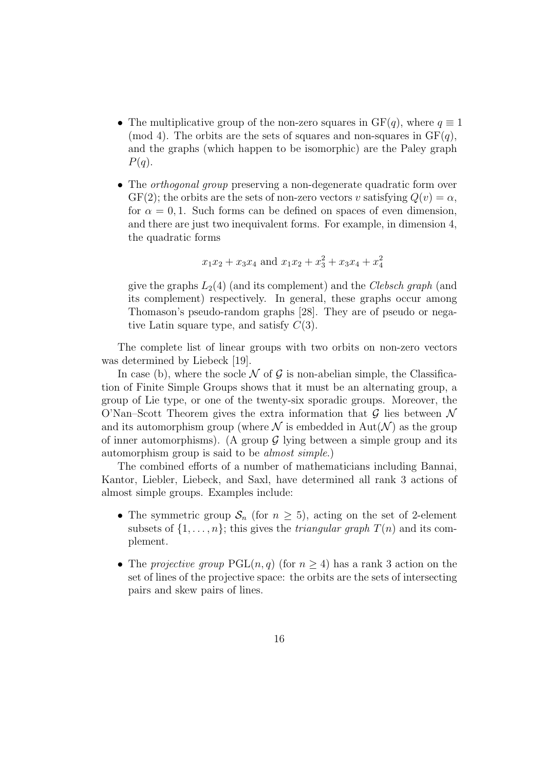- The multiplicative group of the non-zero squares in  $GF(q)$ , where  $q \equiv 1$ (mod 4). The orbits are the sets of squares and non-squares in  $GF(q)$ , and the graphs (which happen to be isomorphic) are the Paley graph  $P(q)$ .
- The *orthogonal group* preserving a non-degenerate quadratic form over  $GF(2)$ ; the orbits are the sets of non-zero vectors v satisfying  $Q(v) = \alpha$ , for  $\alpha = 0, 1$ . Such forms can be defined on spaces of even dimension, and there are just two inequivalent forms. For example, in dimension 4, the quadratic forms

$$
x_1x_2 + x_3x_4
$$
 and  $x_1x_2 + x_3^2 + x_3x_4 + x_4^2$ 

give the graphs  $L_2(4)$  (and its complement) and the *Clebsch graph* (and its complement) respectively. In general, these graphs occur among Thomason's pseudo-random graphs [28]. They are of pseudo or negative Latin square type, and satisfy  $C(3)$ .

The complete list of linear groups with two orbits on non-zero vectors was determined by Liebeck [19].

In case (b), where the socle  $\mathcal N$  of  $\mathcal G$  is non-abelian simple, the Classification of Finite Simple Groups shows that it must be an alternating group, a group of Lie type, or one of the twenty-six sporadic groups. Moreover, the O'Nan–Scott Theorem gives the extra information that  $\mathcal G$  lies between  $\mathcal N$ and its automorphism group (where  $\mathcal N$  is embedded in Aut $(\mathcal N)$  as the group of inner automorphisms). (A group  $\mathcal G$  lying between a simple group and its automorphism group is said to be almost simple.)

The combined efforts of a number of mathematicians including Bannai, Kantor, Liebler, Liebeck, and Saxl, have determined all rank 3 actions of almost simple groups. Examples include:

- The symmetric group  $S_n$  (for  $n \geq 5$ ), acting on the set of 2-element subsets of  $\{1, \ldots, n\}$ ; this gives the *triangular graph*  $T(n)$  and its complement.
- The projective group  $PGL(n, q)$  (for  $n \geq 4$ ) has a rank 3 action on the set of lines of the projective space: the orbits are the sets of intersecting pairs and skew pairs of lines.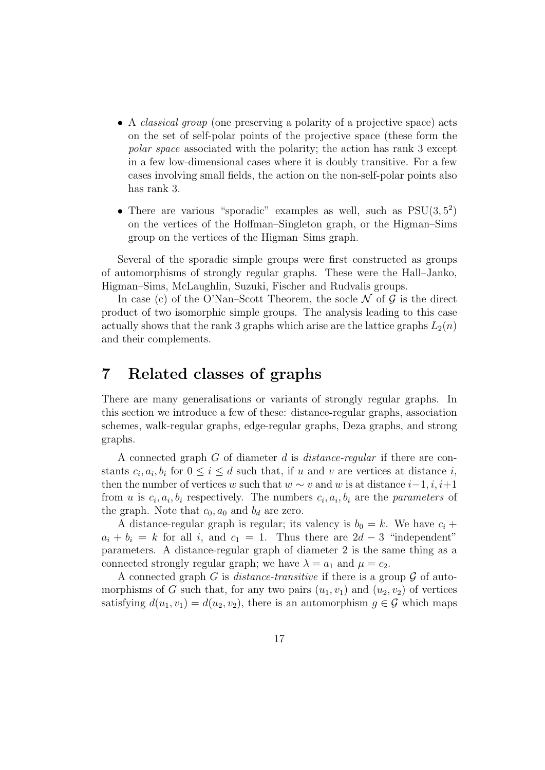- A *classical group* (one preserving a polarity of a projective space) acts on the set of self-polar points of the projective space (these form the polar space associated with the polarity; the action has rank 3 except in a few low-dimensional cases where it is doubly transitive. For a few cases involving small fields, the action on the non-self-polar points also has rank 3.
- There are various "sporadic" examples as well, such as  $PSU(3,5^2)$ on the vertices of the Hoffman–Singleton graph, or the Higman–Sims group on the vertices of the Higman–Sims graph.

Several of the sporadic simple groups were first constructed as groups of automorphisms of strongly regular graphs. These were the Hall–Janko, Higman–Sims, McLaughlin, Suzuki, Fischer and Rudvalis groups.

In case (c) of the O'Nan–Scott Theorem, the socle  $\mathcal N$  of  $\mathcal G$  is the direct product of two isomorphic simple groups. The analysis leading to this case actually shows that the rank 3 graphs which arise are the lattice graphs  $L_2(n)$ and their complements.

### 7 Related classes of graphs

There are many generalisations or variants of strongly regular graphs. In this section we introduce a few of these: distance-regular graphs, association schemes, walk-regular graphs, edge-regular graphs, Deza graphs, and strong graphs.

A connected graph G of diameter d is distance-regular if there are constants  $c_i, a_i, b_i$  for  $0 \leq i \leq d$  such that, if u and v are vertices at distance i, then the number of vertices w such that  $w \sim v$  and w is at distance  $i-1, i, i+1$ from u is  $c_i, a_i, b_i$  respectively. The numbers  $c_i, a_i, b_i$  are the *parameters* of the graph. Note that  $c_0$ ,  $a_0$  and  $b_d$  are zero.

A distance-regular graph is regular; its valency is  $b_0 = k$ . We have  $c_i +$  $a_i + b_i = k$  for all i, and  $c_1 = 1$ . Thus there are  $2d - 3$  "independent" parameters. A distance-regular graph of diameter 2 is the same thing as a connected strongly regular graph; we have  $\lambda = a_1$  and  $\mu = c_2$ .

A connected graph G is *distance-transitive* if there is a group  $\mathcal G$  of automorphisms of G such that, for any two pairs  $(u_1, v_1)$  and  $(u_2, v_2)$  of vertices satisfying  $d(u_1, v_1) = d(u_2, v_2)$ , there is an automorphism  $g \in \mathcal{G}$  which maps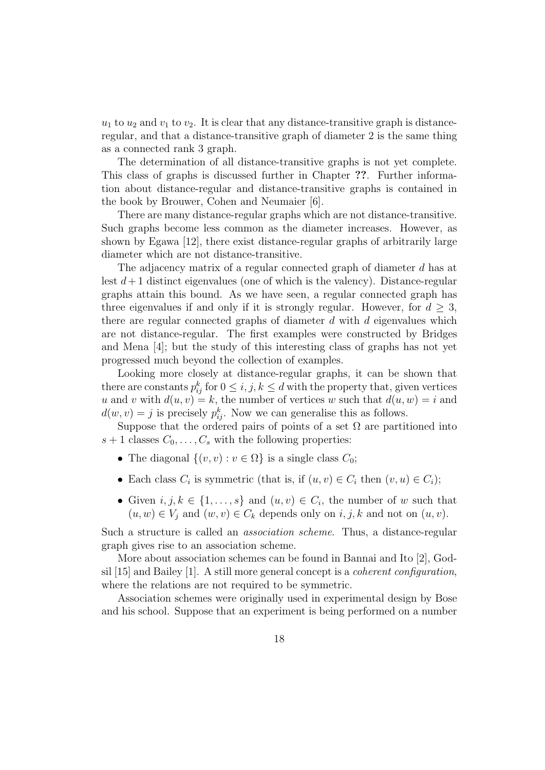$u_1$  to  $u_2$  and  $v_1$  to  $v_2$ . It is clear that any distance-transitive graph is distanceregular, and that a distance-transitive graph of diameter 2 is the same thing as a connected rank 3 graph.

The determination of all distance-transitive graphs is not yet complete. This class of graphs is discussed further in Chapter ??. Further information about distance-regular and distance-transitive graphs is contained in the book by Brouwer, Cohen and Neumaier [6].

There are many distance-regular graphs which are not distance-transitive. Such graphs become less common as the diameter increases. However, as shown by Egawa [12], there exist distance-regular graphs of arbitrarily large diameter which are not distance-transitive.

The adjacency matrix of a regular connected graph of diameter d has at lest  $d+1$  distinct eigenvalues (one of which is the valency). Distance-regular graphs attain this bound. As we have seen, a regular connected graph has three eigenvalues if and only if it is strongly regular. However, for  $d \geq 3$ , there are regular connected graphs of diameter  $d$  with  $d$  eigenvalues which are not distance-regular. The first examples were constructed by Bridges and Mena [4]; but the study of this interesting class of graphs has not yet progressed much beyond the collection of examples.

Looking more closely at distance-regular graphs, it can be shown that there are constants  $p_{ij}^k$  for  $0 \leq i, j, k \leq d$  with the property that, given vertices u and v with  $d(u, v) = k$ , the number of vertices w such that  $d(u, w) = i$  and  $d(w, v) = j$  is precisely  $p_{ij}^k$ . Now we can generalise this as follows.

Suppose that the ordered pairs of points of a set  $\Omega$  are partitioned into  $s + 1$  classes  $C_0, \ldots, C_s$  with the following properties:

- The diagonal  $\{(v, v) : v \in \Omega\}$  is a single class  $C_0$ ;
- Each class  $C_i$  is symmetric (that is, if  $(u, v) \in C_i$  then  $(v, u) \in C_i$ );
- Given  $i, j, k \in \{1, ..., s\}$  and  $(u, v) \in C_i$ , the number of w such that  $(u, w) \in V_j$  and  $(w, v) \in C_k$  depends only on  $i, j, k$  and not on  $(u, v)$ .

Such a structure is called an association scheme. Thus, a distance-regular graph gives rise to an association scheme.

More about association schemes can be found in Bannai and Ito [2], Godsil [15] and Bailey [1]. A still more general concept is a coherent configuration, where the relations are not required to be symmetric.

Association schemes were originally used in experimental design by Bose and his school. Suppose that an experiment is being performed on a number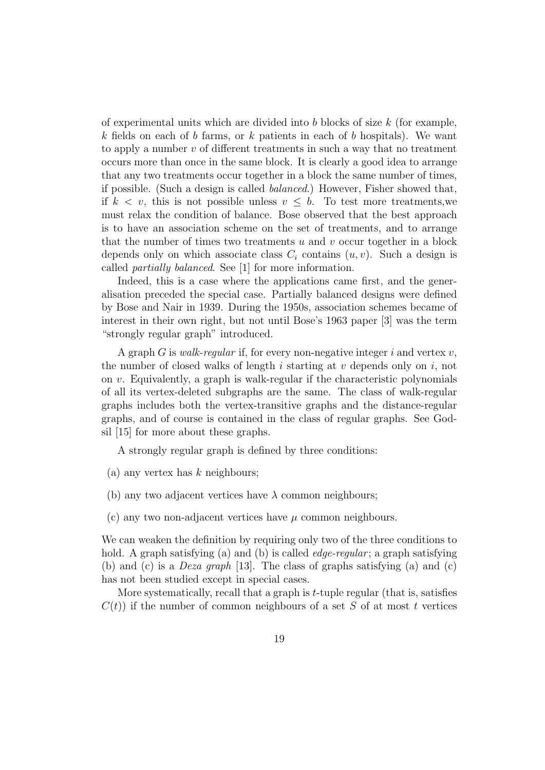of experimental units which are divided into  $b$  blocks of size  $k$  (for example, k fields on each of b farms, or k patients in each of b hospitals). We want to apply a number  $v$  of different treatments in such a way that no treatment occurs more than once in the same block. It is clearly a good idea to arrange that any two treatments occur together in a block the same number of times, if possible. (Such a design is called balanced.) However, Fisher showed that, if  $k < v$ , this is not possible unless  $v \leq b$ . To test more treatments, we must relax the condition of balance. Bose observed that the best approach is to have an association scheme on the set of treatments, and to arrange that the number of times two treatments  $u$  and  $v$  occur together in a block depends only on which associate class  $C_i$  contains  $(u, v)$ . Such a design is called partially balanced. See [1] for more information.

Indeed, this is a case where the applications came first, and the generalisation preceded the special case. Partially balanced designs were defined by Bose and Nair in 1939. During the 1950s, association schemes became of interest in their own right, but not until Bose's 1963 paper [3] was the term "strongly regular graph" introduced.

A graph  $G$  is *walk-regular* if, for every non-negative integer i and vertex  $v$ , the number of closed walks of length i starting at v depends only on i, not on v. Equivalently, a graph is walk-regular if the characteristic polynomials of all its vertex-deleted subgraphs are the same. The class of walk-regular graphs includes both the vertex-transitive graphs and the distance-regular graphs, and of course is contained in the class of regular graphs. See Godsil [15] for more about these graphs.

A strongly regular graph is defined by three conditions:

(a) any vertex has  $k$  neighbours;

- (b) any two adjacent vertices have  $\lambda$  common neighbours;
- (c) any two non-adjacent vertices have  $\mu$  common neighbours.

We can weaken the definition by requiring only two of the three conditions to hold. A graph satisfying (a) and (b) is called *edge-regular*; a graph satisfying (b) and (c) is a Deza graph [13]. The class of graphs satisfying (a) and (c) has not been studied except in special cases.

More systematically, recall that a graph is  $t$ -tuple regular (that is, satisfies  $C(t)$  if the number of common neighbours of a set S of at most t vertices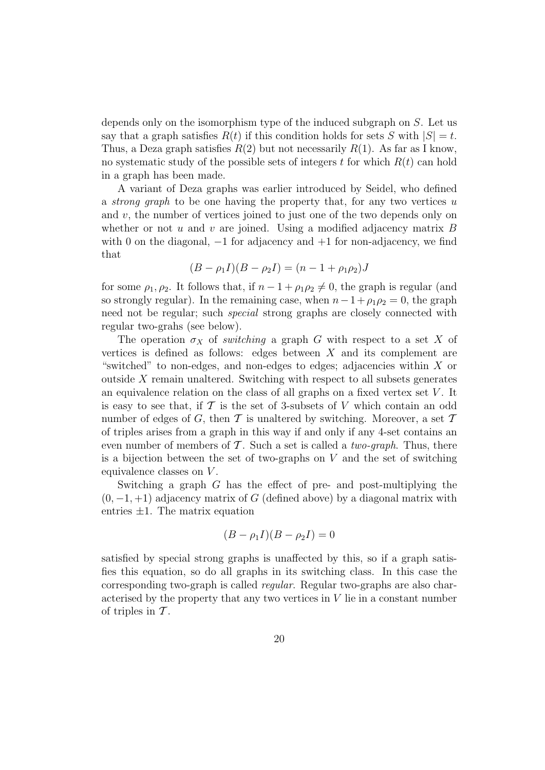depends only on the isomorphism type of the induced subgraph on S. Let us say that a graph satisfies  $R(t)$  if this condition holds for sets S with  $|S| = t$ . Thus, a Deza graph satisfies  $R(2)$  but not necessarily  $R(1)$ . As far as I know, no systematic study of the possible sets of integers t for which  $R(t)$  can hold in a graph has been made.

A variant of Deza graphs was earlier introduced by Seidel, who defined a *strong graph* to be one having the property that, for any two vertices u and  $v$ , the number of vertices joined to just one of the two depends only on whether or not  $u$  and  $v$  are joined. Using a modified adjacency matrix  $B$ with 0 on the diagonal,  $-1$  for adjacency and  $+1$  for non-adjacency, we find that

$$
(B - \rho_1 I)(B - \rho_2 I) = (n - 1 + \rho_1 \rho_2)J
$$

for some  $\rho_1, \rho_2$ . It follows that, if  $n - 1 + \rho_1 \rho_2 \neq 0$ , the graph is regular (and so strongly regular). In the remaining case, when  $n-1+\rho_1\rho_2=0$ , the graph need not be regular; such special strong graphs are closely connected with regular two-grahs (see below).

The operation  $\sigma_X$  of *switching* a graph G with respect to a set X of vertices is defined as follows: edges between  $X$  and its complement are "switched" to non-edges, and non-edges to edges; adjacencies within  $X$  or outside  $X$  remain unaltered. Switching with respect to all subsets generates an equivalence relation on the class of all graphs on a fixed vertex set  $V$ . It is easy to see that, if  $\mathcal T$  is the set of 3-subsets of V which contain an odd number of edges of G, then T is unaltered by switching. Moreover, a set  $T$ of triples arises from a graph in this way if and only if any 4-set contains an even number of members of  $\mathcal T$ . Such a set is called a *two-graph*. Thus, there is a bijection between the set of two-graphs on  $V$  and the set of switching equivalence classes on V .

Switching a graph G has the effect of pre- and post-multiplying the  $(0, -1, +1)$  adjacency matrix of G (defined above) by a diagonal matrix with entries  $\pm 1$ . The matrix equation

$$
(B - \rho_1 I)(B - \rho_2 I) = 0
$$

satisfied by special strong graphs is unaffected by this, so if a graph satisfies this equation, so do all graphs in its switching class. In this case the corresponding two-graph is called regular. Regular two-graphs are also characterised by the property that any two vertices in V lie in a constant number of triples in  $\mathcal T$ .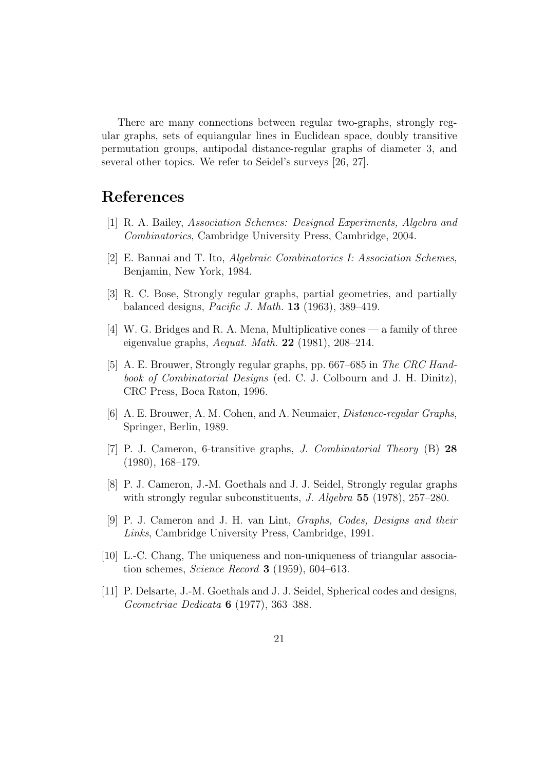There are many connections between regular two-graphs, strongly regular graphs, sets of equiangular lines in Euclidean space, doubly transitive permutation groups, antipodal distance-regular graphs of diameter 3, and several other topics. We refer to Seidel's surveys [26, 27].

### References

- [1] R. A. Bailey, Association Schemes: Designed Experiments, Algebra and Combinatorics, Cambridge University Press, Cambridge, 2004.
- [2] E. Bannai and T. Ito, Algebraic Combinatorics I: Association Schemes, Benjamin, New York, 1984.
- [3] R. C. Bose, Strongly regular graphs, partial geometries, and partially balanced designs, *Pacific J. Math.* **13** (1963), 389–419.
- [4] W. G. Bridges and R. A. Mena, Multiplicative cones a family of three eigenvalue graphs,  $A$ equat. Math. **22** (1981), 208–214.
- [5] A. E. Brouwer, Strongly regular graphs, pp. 667–685 in The CRC Handbook of Combinatorial Designs (ed. C. J. Colbourn and J. H. Dinitz), CRC Press, Boca Raton, 1996.
- [6] A. E. Brouwer, A. M. Cohen, and A. Neumaier, Distance-regular Graphs, Springer, Berlin, 1989.
- [7] P. J. Cameron, 6-transitive graphs, J. Combinatorial Theory (B) 28 (1980), 168–179.
- [8] P. J. Cameron, J.-M. Goethals and J. J. Seidel, Strongly regular graphs with strongly regular subconstituents, *J. Algebra* 55 (1978), 257–280.
- [9] P. J. Cameron and J. H. van Lint, Graphs, Codes, Designs and their Links, Cambridge University Press, Cambridge, 1991.
- [10] L.-C. Chang, The uniqueness and non-uniqueness of triangular association schemes, Science Record 3 (1959), 604–613.
- [11] P. Delsarte, J.-M. Goethals and J. J. Seidel, Spherical codes and designs, Geometriae Dedicata 6 (1977), 363–388.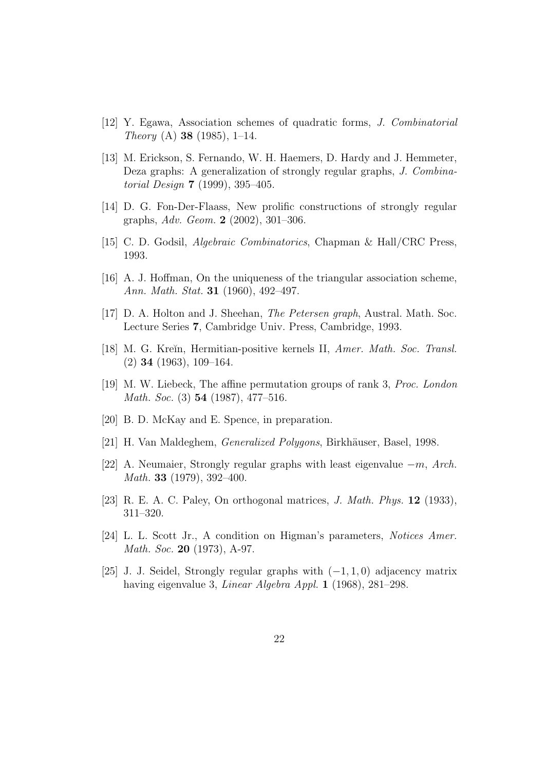- [12] Y. Egawa, Association schemes of quadratic forms, J. Combinatorial Theory (A) 38 (1985), 1–14.
- [13] M. Erickson, S. Fernando, W. H. Haemers, D. Hardy and J. Hemmeter, Deza graphs: A generalization of strongly regular graphs, J. Combinatorial Design 7 (1999), 395–405.
- [14] D. G. Fon-Der-Flaass, New prolific constructions of strongly regular graphs, Adv. Geom. 2 (2002), 301–306.
- [15] C. D. Godsil, Algebraic Combinatorics, Chapman & Hall/CRC Press, 1993.
- [16] A. J. Hoffman, On the uniqueness of the triangular association scheme, Ann. Math. Stat. 31 (1960), 492–497.
- [17] D. A. Holton and J. Sheehan, The Petersen graph, Austral. Math. Soc. Lecture Series 7, Cambridge Univ. Press, Cambridge, 1993.
- [18] M. G. Kreĭn, Hermitian-positive kernels II, Amer. Math. Soc. Transl. (2) 34 (1963), 109–164.
- [19] M. W. Liebeck, The affine permutation groups of rank 3, Proc. London Math. Soc. (3) 54 (1987), 477–516.
- [20] B. D. McKay and E. Spence, in preparation.
- [21] H. Van Maldeghem, *Generalized Polygons*, Birkhäuser, Basel, 1998.
- [22] A. Neumaier, Strongly regular graphs with least eigenvalue  $-m$ , Arch. Math. 33 (1979), 392–400.
- [23] R. E. A. C. Paley, On orthogonal matrices, J. Math. Phys. 12 (1933), 311–320.
- [24] L. L. Scott Jr., A condition on Higman's parameters, Notices Amer. Math. Soc. 20 (1973), A-97.
- [25] J. J. Seidel, Strongly regular graphs with  $(-1, 1, 0)$  adjacency matrix having eigenvalue 3, Linear Algebra Appl. 1 (1968), 281–298.